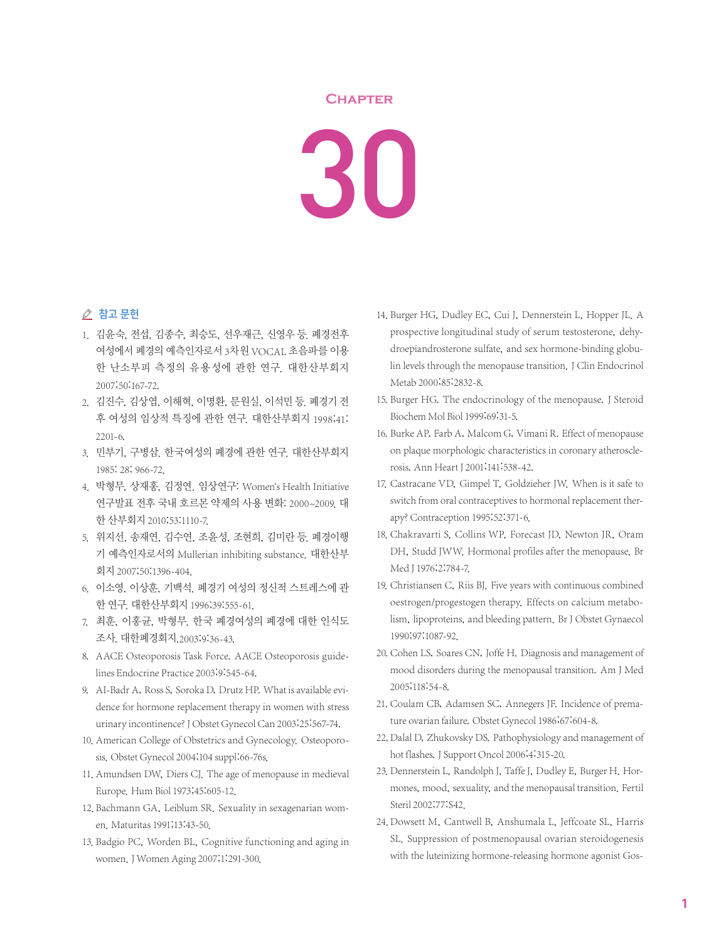## **Chapter**

30

## △ 참고 문헌

- 1. 김윤숙, 전섭, 김종수, 최승도, 선우재근, 신영우 등. 폐경전후 여성에서 폐경의 예측인자로서 3차원 VOCAL 초음파를 이용 한 난소부피 측정의 유용성에 관한 연구. 대한산부회지 2007;50:167-72.
- 2. 김진수, 김상엽, 이해혁, 이명환, 문원실, 이석민 등. 폐경기 전 후 여성의 임상적 특징에 관한 연구. 대한산부회지 1998;41: 2201-6.
- 3. 민부기, 구병삼. 한국여성의 폐경에 관한 연구. 대한산부회지 1985: 28; 966-72.
- 4. 박형무, 상재홍, 김정연. 임상연구: Women`s Health Initiative 연구발표 전후 국내 호르몬 약제의 사용 변화: 2000~2009. 대 한 산부회지 2010;53:1110-7.
- 5. 위지선, 송재연, 김수연, 조윤성, 조현희, 김미란 등. 폐경이행 기 예측인자로서의 Mullerian inhibiting substance. 대한산부 회지 2007;50:1396-404.
- 6. 이소영, 이상훈, 기백석. 폐경기 여성의 정신적 스트레스에 관 한 연구. 대한산부회지 1996;39:555-61.
- 7. 최훈, 이홍균, 박형무. 한국 폐경여성의 폐경에 대한 인식도 조사. 대한폐경회지.2003;9:36-43.
- 8. AACE Osteoporosis Task Force. AACE Osteoporosis guidelines Endocrine Practice 2003;9:545-64.
- 9. AI-Badr A, Ross S, Soroka D, Drutz HP. What is available evidence for hormone replacement therapy in women with stress urinary incontinence? J Obstet Gynecol Can 2003;25:567-74.
- 10. American College of Obstetrics and Gynecology. Osteoporosis. Obstet Gynecol 2004;104 suppl:66-76s.
- 11. Amundsen DW, Diers CJ. The age of menopause in medieval Europe. Hum Biol 1973;45:605-12.
- 12. Bachmann GA, Leiblum SR. Sexuality in sexagenarian women. Maturitas 1991;13:43-50.
- 13. Badgio PC, Worden BL, Cognitive functioning and aging in women.J Women Aging 2007;1:291-300.
- 14. Burger HG, Dudley EC, Cui J, Dennerstein L, Hopper JL. A prospective longitudinal study of serum testosterone, dehydroepiandrosterone sulfate, and sex hormone-binding globulin levels through the menopause transition. J Clin Endocrinol Metab 2000;85:2832-8.
- 15. Burger HG. The endocrinology of the menopause. J Steroid Biochem Mol Biol 1999;69:31-5.
- 16. Burke AP, Farb A, Malcom G, Vimani R. Effect of menopause on plaque morphologic characteristics in coronary atherosclerosis. Ann Heart J 2001;141:538-42.
- 17. Castracane VD, Gimpel T, Goldzieher JW. When is it safe to switch from oral contraceptives to hormonal replacement therapy? Contraception 1995;52:371-6.
- 18. Chakravarti S, Collins WP, Forecast JD, Newton JR, Oram DH, Studd JWW. Hormonal profiles after the menopause. Br Med J 1976;2:784-7.
- 19. Christiansen C, Riis BJ. Five years with continuous combined oestrogen/progestogen therapy. Effects on calcium metabolism, lipoproteins, and bleeding pattern. Br J Obstet Gynaecol 1990;97:1087-92.
- 20. Cohen LS, Soares CN, Joffe H. Diagnosis and management of mood disorders during the menopausal transition. Am J Med 2005;118:54-8.
- 21. Coulam CB, Adamsen SC, Annegers JF. Incidence of premature ovarian failure. Obstet Gynecol 1986;67:604-8.
- 22. Dalal D, Zhukovsky DS. Pathophysiology and management of hot flashes. J Support Oncol 2006;4:315-20.
- 23. Dennerstein L, Randolph J, Taffe J, Dudley E, Burger H. Hormones, mood, sexuality, and the menopausal transition. Fertil Steril 2002;77:S42.
- 24. Dowsett M, Cantwell B, Anshumala L, Jeffcoate SL, Harris SL. Suppression of postmenopausal ovarian steroidogenesis with the luteinizing hormone-releasing hormone agonist Gos-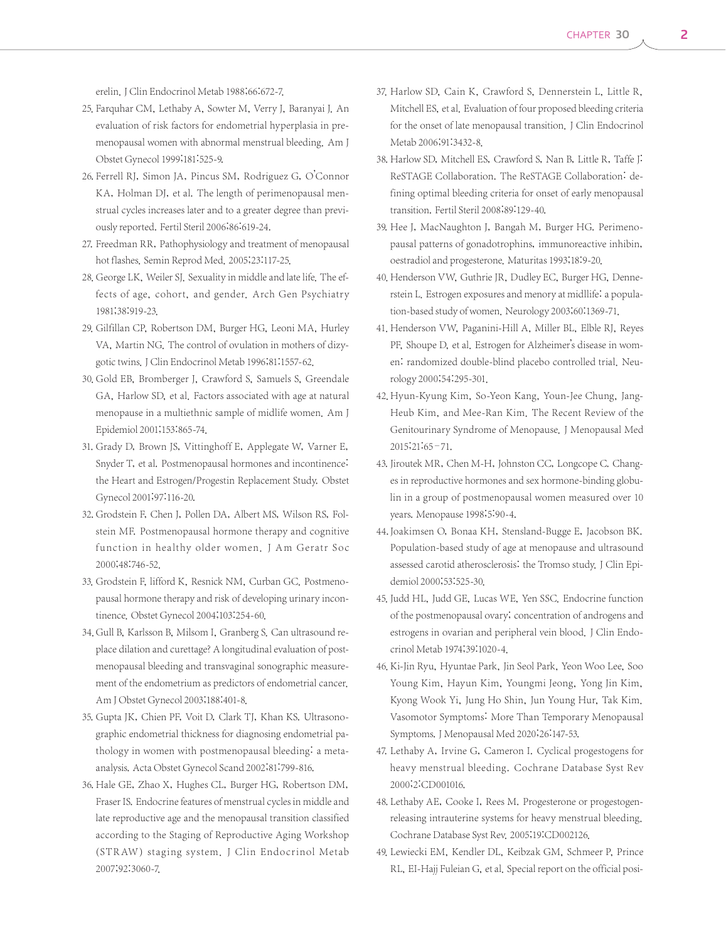- 25. Farquhar CM, Lethaby A, Sowter M, Verry J, Baranyai J. An evaluation of risk factors for endometrial hyperplasia in premenopausal women with abnormal menstrual bleeding. Am J Obstet Gynecol 1999;181:525-9.
- 26. Ferrell RJ, Simon JA, Pincus SM, Rodriguez G, O'Connor KA, Holman DJ, et al. The length of perimenopausal menstrual cycles increases later and to a greater degree than previously reported. Fertil Steril 2006;86:619-24.
- 27. Freedman RR, Pathophysiology and treatment of menopausal hot flashes. Semin Reprod Med. 2005;23:117-25.
- 28. George LK, Weiler SJ. Sexuality in middle and late life. The effects of age, cohort, and gender. Arch Gen Psychiatry 1981;38:919-23.
- 29. Gilfillan CP, Robertson DM, Burger HG, Leoni MA, Hurley VA, Martin NG. The control of ovulation in mothers of dizygotic twins.J Clin Endocrinol Metab 1996;81:1557-62.
- 30. Gold EB, Bromberger J, Crawford S, Samuels S, Greendale GA, Harlow SD, et al. Factors associated with age at natural menopause in a multiethnic sample of midlife women. Am J Epidemiol 2001;153:865-74.
- 31. Grady D, Brown JS, Vittinghoff E, Applegate W, Varner E, Snyder T, et al. Postmenopausal hormones and incontinence: the Heart and Estrogen/Progestin Replacement Study. Obstet Gynecol 2001;97:116-20.
- 32. Grodstein F, Chen J, Pollen DA, Albert MS, Wilson RS, Folstein MF. Postmenopausal hormone therapy and cognitive function in healthy older women. J Am Geratr Soc 2000;48:746-52.
- 33. Grodstein F, lifford K, Resnick NM, Curban GC. Postmenopausal hormone therapy and risk of developing urinary incontinence. Obstet Gynecol 2004;103:254-60.
- 34. Gull B, Karlsson B, Milsom I, Granberg S. Can ultrasound replace dilation and curettage? A longitudinal evaluation of postmenopausal bleeding and transvaginal sonographic measurement of the endometrium as predictors of endometrial cancer. Am J Obstet Gynecol 2003;188:401-8.
- 35. Gupta JK, Chien PF, Voit D, Clark TJ, Khan KS. Ultrasonographic endometrial thickness for diagnosing endometrial pathology in women with postmenopausal bleeding: a metaanalysis. Acta Obstet Gynecol Scand 2002;81:799-816.
- 36. Hale GE, Zhao X, Hughes CL, Burger HG, Robertson DM, Fraser IS. Endocrine features of menstrual cycles in middle and late reproductive age and the menopausal transition classified according to the Staging of Reproductive Aging Workshop (STR AW) staging system. J Clin Endocrinol Metab 2007;92:3060-7.
- 37. Harlow SD, Cain K, Crawford S, Dennerstein L, Little R, Mitchell ES, et al. Evaluation of four proposed bleeding criteria for the onset of late menopausal transition. J Clin Endocrinol Metab 2006;91:3432-8.
- 38. Harlow SD, Mitchell ES, Crawford S, Nan B, Little R, Taffe J. ReSTAGE Collaboration. The ReSTAGE Collaboration: defining optimal bleeding criteria for onset of early menopausal transition. Fertil Steril 2008;89:129-40.
- 39. Hee J, MacNaughton J, Bangah M, Burger HG. Perimenopausal patterns of gonadotrophins, immunoreactive inhibin, oestradiol and progesterone. Maturitas 1993;18:9-20.
- 40. Henderson VW, Guthrie JR, Dudley EC, Burger HG, Dennerstein L. Estrogen exposures and menory at midllife: a population-based study of women. Neurology 2003;60:1369-71.
- 41. Henderson VW, Paganini-Hill A, Miller BL, Elble RJ, Reyes PF, Shoupe D, et al. Estrogen for Alzheimer's disease in women: randomized double-blind placebo controlled trial. Neurology 2000;54:295-301.
- 42. Hyun-Kyung Kim, So-Yeon Kang, Youn-Jee Chung, Jang-Heub Kim, and Mee-Ran Kim. The Recent Review of the Genitourinary Syndrome of Menopause. J Menopausal Med 2015;21:65–71.
- 43. Jiroutek MR, Chen M-H, Johnston CC, Longcope C. Changes in reproductive hormones and sex hormone-binding globulin in a group of postmenopausal women measured over 10 years. Menopause 1998;5:90-4.
- 44. Joakimsen O, Bonaa KH, Stensland-Bugge E, Jacobson BK. Population-based study of age at menopause and ultrasound assessed carotid atherosclerosis: the Tromso study. J Clin Epidemiol 2000;53:525-30.
- 45. Judd HL, Judd GE, Lucas WE, Yen SSC. Endocrine function of the postmenopausal ovary; concentration of androgens and estrogens in ovarian and peripheral vein blood. J Clin Endocrinol Metab 1974;39:1020-4.
- 46. Ki-Jin Ryu, Hyuntae Park, Jin Seol Park, Yeon Woo Lee, Soo Young Kim, Hayun Kim, Youngmi Jeong, Yong Jin Kim, Kyong Wook Yi, Jung Ho Shin, Jun Young Hur, Tak Kim. Vasomotor Symptoms: More Than Temporary Menopausal Symptoms.J Menopausal Med 2020;26:147-53.
- 47. Lethaby A, Irvine G, Cameron I. Cyclical progestogens for heavy menstrual bleeding. Cochrane Database Syst Rev 2000;2:CD001016.
- 48. Lethaby AE, Cooke I, Rees M. Progesterone or progestogenreleasing intrauterine systems for heavy menstrual bleeding. Cochrane Database Syst Rev. 2005;19:CD002126.
- 49. Lewiecki EM, Kendler DL, Keibzak GM, Schmeer P, Prince RL, EI-Hajj Fuleian G, et al. Special report on the official posi-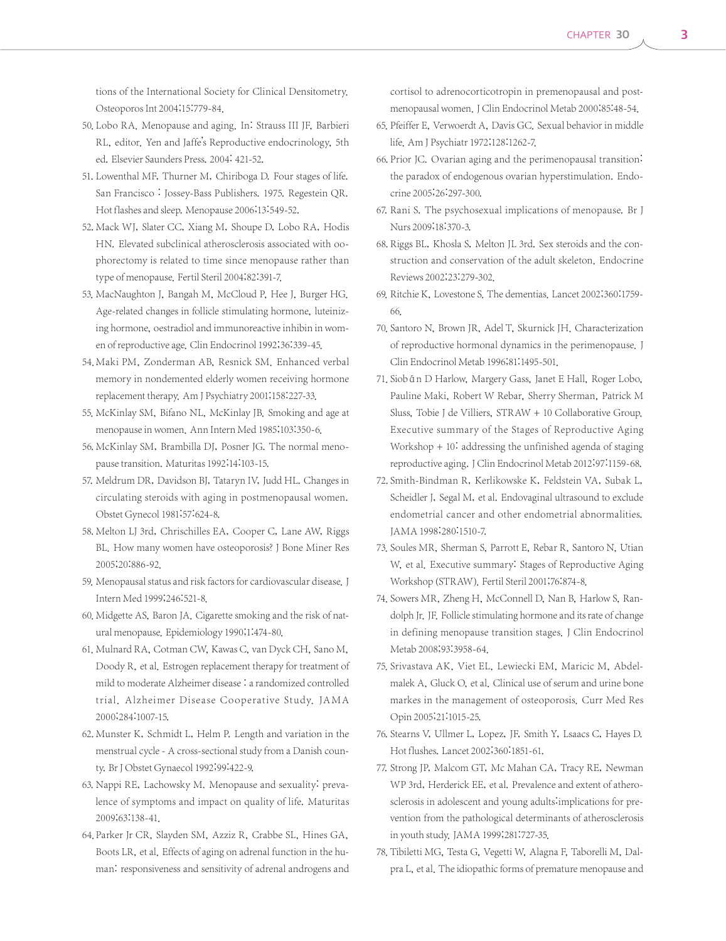tions of the International Society for Clinical Densitometry. Osteoporos Int 2004;15:779-84.

- 50. Lobo RA. Menopause and aging. In: Strauss III JF, Barbieri RL, editor. Yen and Jaffe's Reproductive endocrinology, 5th ed. Elsevier Saunders Press. 2004: 421-52.
- 51. Lowenthal MF, Thurner M, Chiriboga D. Four stages of life. San Francisco : Jossey-Bass Publishers. 1975. Regestein QR. Hot flashes and sleep. Menopause 2006;13:549-52.
- 52. Mack WJ, Slater CC, Xiang M, Shoupe D, Lobo RA, Hodis HN. Elevated subclinical atherosclerosis associated with oophorectomy is related to time since menopause rather than type of menopause. Fertil Steril 2004;82:391-7.
- 53. MacNaughton J, Bangah M, McCloud P, Hee J, Burger HG. Age-related changes in follicle stimulating hormone, luteinizing hormone, oestradiol and immunoreactive inhibin in women of reproductive age. Clin Endocrinol 1992;36:339-45.
- 54. Maki PM, Zonderman AB, Resnick SM. Enhanced verbal memory in nondemented elderly women receiving hormone replacement therapy. Am J Psychiatry 2001;158:227-33.
- 55. McKinlay SM, Bifano NL, McKinlay JB. Smoking and age at menopause in women. Ann Intern Med 1985;103:350-6.
- 56. McKinlay SM, Brambilla DJ, Posner JG. The normal menopause transition. Maturitas 1992;14:103-15.
- 57. Meldrum DR, Davidson BJ, Tataryn IV, Judd HL. Changes in circulating steroids with aging in postmenopausal women. Obstet Gynecol 1981;57:624-8.
- 58. Melton LJ 3rd, Chrischilles EA, Cooper C, Lane AW, Riggs BL. How many women have osteoporosis? J Bone Miner Res 2005;20:886-92.
- 59. Menopausal status and risk factors for cardiovascular disease. J Intern Med 1999;246:521-8.
- 60. Midgette AS, Baron JA. Cigarette smoking and the risk of natural menopause. Epidemiology 1990;1:474-80.
- 61. Mulnard RA, Cotman CW, Kawas C, van Dyck CH, Sano M, Doody R, et al. Estrogen replacement therapy for treatment of mild to moderate Alzheimer disease : a randomized controlled trial. Alzheimer Disease Cooperative Study. JA M A 2000;284:1007-15.
- 62. Munster K, Schmidt L, Helm P. Length and variation in the menstrual cycle - A cross-sectional study from a Danish county. Br J Obstet Gynaecol 1992;99:422-9.
- 63. Nappi RE, Lachowsky M. Menopause and sexuality: prevalence of symptoms and impact on quality of life. Maturitas 2009;63:138-41.
- 64. Parker Jr CR, Slayden SM, Azziz R, Crabbe SL, Hines GA, Boots LR, et al. Effects of aging on adrenal function in the human: responsiveness and sensitivity of adrenal androgens and

cortisol to adrenocorticotropin in premenopausal and postmenopausal women. J Clin Endocrinol Metab 2000;85:48-54.

- 65. Pfeiffer E, Verwoerdt A, Davis GC. Sexual behavior in middle life. Am J Psychiatr 1972;128:1262-7.
- 66. Prior JC. Ovarian aging and the perimenopausal transition: the paradox of endogenous ovarian hyperstimulation. Endocrine 2005;26:297-300.
- 67. Rani S. The psychosexual implications of menopause. Br J Nurs 2009;18:370-3.
- 68. Riggs BL, Khosla S, Melton JL 3rd. Sex steroids and the construction and conservation of the adult skeleton. Endocrine Reviews 2002;23:279-302.
- 69. Ritchie K, Lovestone S. The dementias. Lancet 2002;360:1759- 66.
- 70. Santoro N, Brown JR, Adel T, Skurnick JH. Characterization of reproductive hormonal dynamics in the perimenopause. J Clin Endocrinol Metab 1996;81:1495-501.
- 71. Siobán D Harlow, Margery Gass, Janet E Hall, Roger Lobo, Pauline Maki, Robert W Rebar, Sherry Sherman, Patrick M Sluss, Tobie J de Villiers, STRAW + 10 Collaborative Group. Executive summary of the Stages of Reproductive Aging Workshop + 10: addressing the unfinished agenda of staging reproductive aging. J Clin Endocrinol Metab 2012;97:1159-68.
- 72. Smith-Bindman R, Kerlikowske K, Feldstein VA, Subak L, Scheidler J, Segal M, et al. Endovaginal ultrasound to exclude endometrial cancer and other endometrial abnormalities. JAMA 1998;280:1510-7.
- 73. Soules MR, Sherman S, Parrott E, Rebar R, Santoro N, Utian W, et al. Executive summary: Stages of Reproductive Aging Workshop (STRAW). Fertil Steril 2001;76:874-8.
- 74. Sowers MR, Zheng H, McConnell D, Nan B, Harlow S, Randolph Jr. JF. Follicle stimulating hormone and its rate of change in defining menopause transition stages. J Clin Endocrinol Metab 2008;93:3958-64.
- 75. Srivastava AK, Viet EL, Lewiecki EM, Maricic M, Abdelmalek A, Gluck O, et al. Clinical use of serum and urine bone markes in the management of osteoporosis. Curr Med Res Opin 2005;21:1015-25.
- 76. Stearns V, Ullmer L, Lopez, JF, Smith Y, Lsaacs C, Hayes D. Hot flushes. Lancet 2002;360:1851-61.
- 77. Strong JP, Malcom GT, Mc Mahan CA, Tracy RE, Newman WP 3rd, Herderick EE, et al. Prevalence and extent of atherosclerosis in adolescent and young adults:implications for prevention from the pathological determinants of atherosclerosis in youth study. JAMA 1999;281:727-35.
- 78. Tibiletti MG, Testa G, Vegetti W, Alagna F, Taborelli M, Dalpra L, et al. The idiopathic forms of premature menopause and